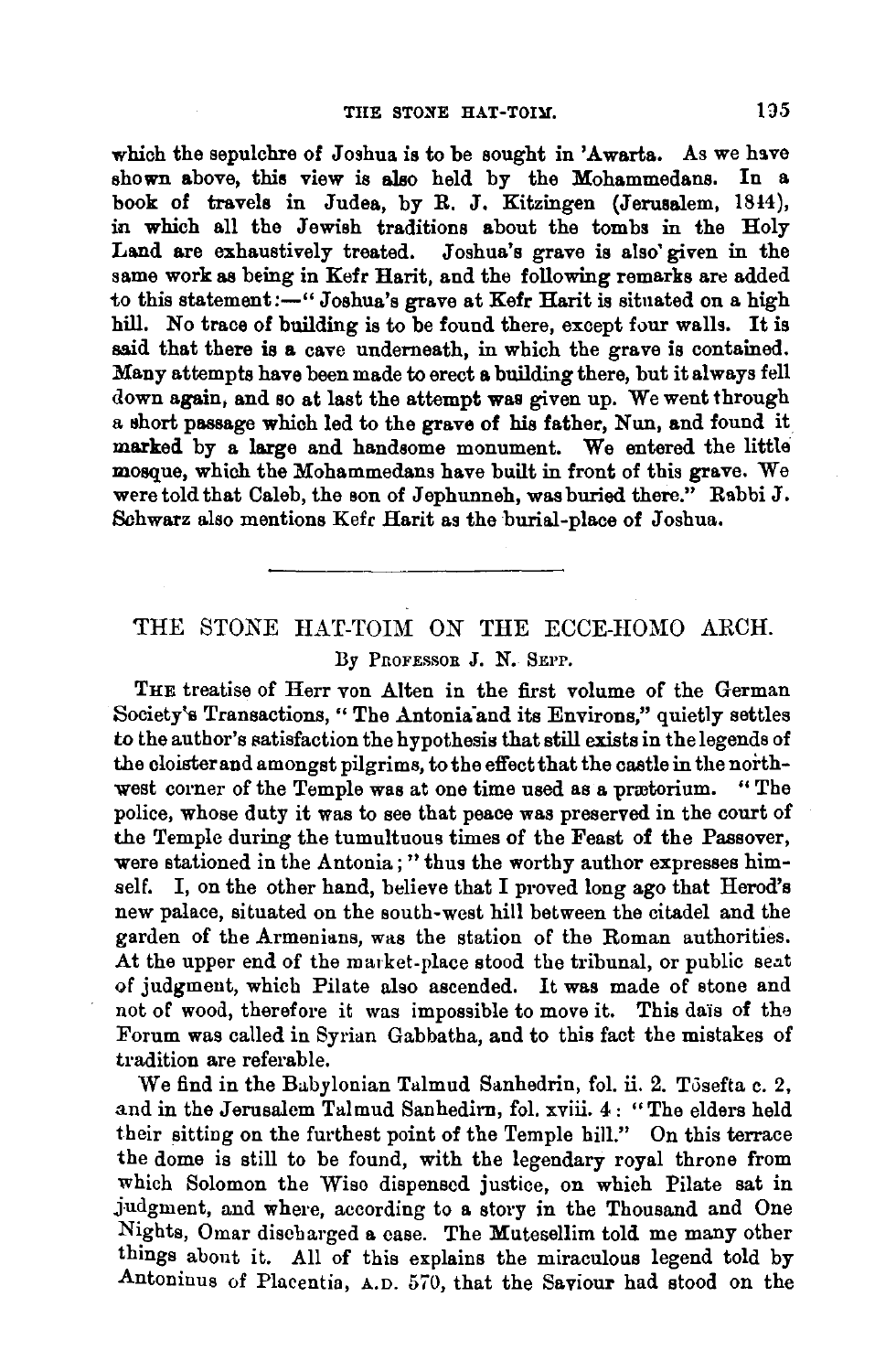which the sepulchre of Joshua is to be sought in 'Awarta. As we have shown above, this view is also held by the Mohammedans. In a book of travels in Judea, by R. J. Kitzingen (Jerusalem, 18!4), in which all the Jewish traditions about the tombs in the Holy Land are exhaustively treated. Joshua's grave is also' given in the same work as being in Kefr Harit, and the following remarks are added to this statement:-" Joshua's grave at Kefr Harit is situated on a high hill. No trace of building is to be found there, except four walls. It is said that there is a cave underneath, in which the grave is contained. Many attempts have been made to erect a building there, but it always fell down again, and so at last the attempt was given up. We went through a short passage which led to the grave of his father, Nun, and found it marked by a large and handsome monument. We entered the little mosque, which the Mohammedans have built in front of this grave. We were told that Caleb, the son of Jephunneh, was buried there." Rabbi J. Sohwarz also mentions Kefr Harit as the burial-place of Joshua.

## THE STONE HAT-TOIM *ON* THE ECCE-HOMO ARCH. By PROFESSOR J. N. SEPP.

THE treatise of Herr von Alten in the first volume of the German Society's Transactions, "The Antonia and its Environs," quietly settles to the author's satisfaction the hypothesis that still exists in the legends of the cloister and amongst pilgrims, to the effect that the castle in the northwest corner of the Temple was at one time used as a prretorium. " The police, whose duty it was to see that peace was preserved in the court of the Temple during the tumultuous times of the Feast of the Passover, were stationed in the Antonia; "thus the worthy author expresses himself. I, on the other hand, believe that I proved long ago that Herod's new palace, situated on the south-west hill between the citadel and the garden of the Armenians, was the station of the Roman authorities. At the upper end of the market-place stood the tribunal, or public seat of judgment, which Pilate also ascended. It was made of stone and not of wood, therefore it was impossible to move it. This dais of the Forum was called in Syrian Gabbatha, and to this fact the mistakes of tradition are referable.

We find in the Babylonian Talmud Sanhedrin, fol. ii. 2. Tosefta c. 2, and in the Jerusalem Talmud Sanhedirn, fol. xviii. 4: "The elders held their sitting on the furthest point of the Temple hill." On this terrace the dome is still to be found, with the legendary royal throne from which Solomon the Wise dispensed justice, on which Pilate sat in judgment, and where, according to a story in the Thousand and One Nights, Omar discharged a case. The Mutesellim told me many other things about it. All of this explains the miraculous legend told by Antoninus of Placentia, A.D. 570, that the Saviour had stood on the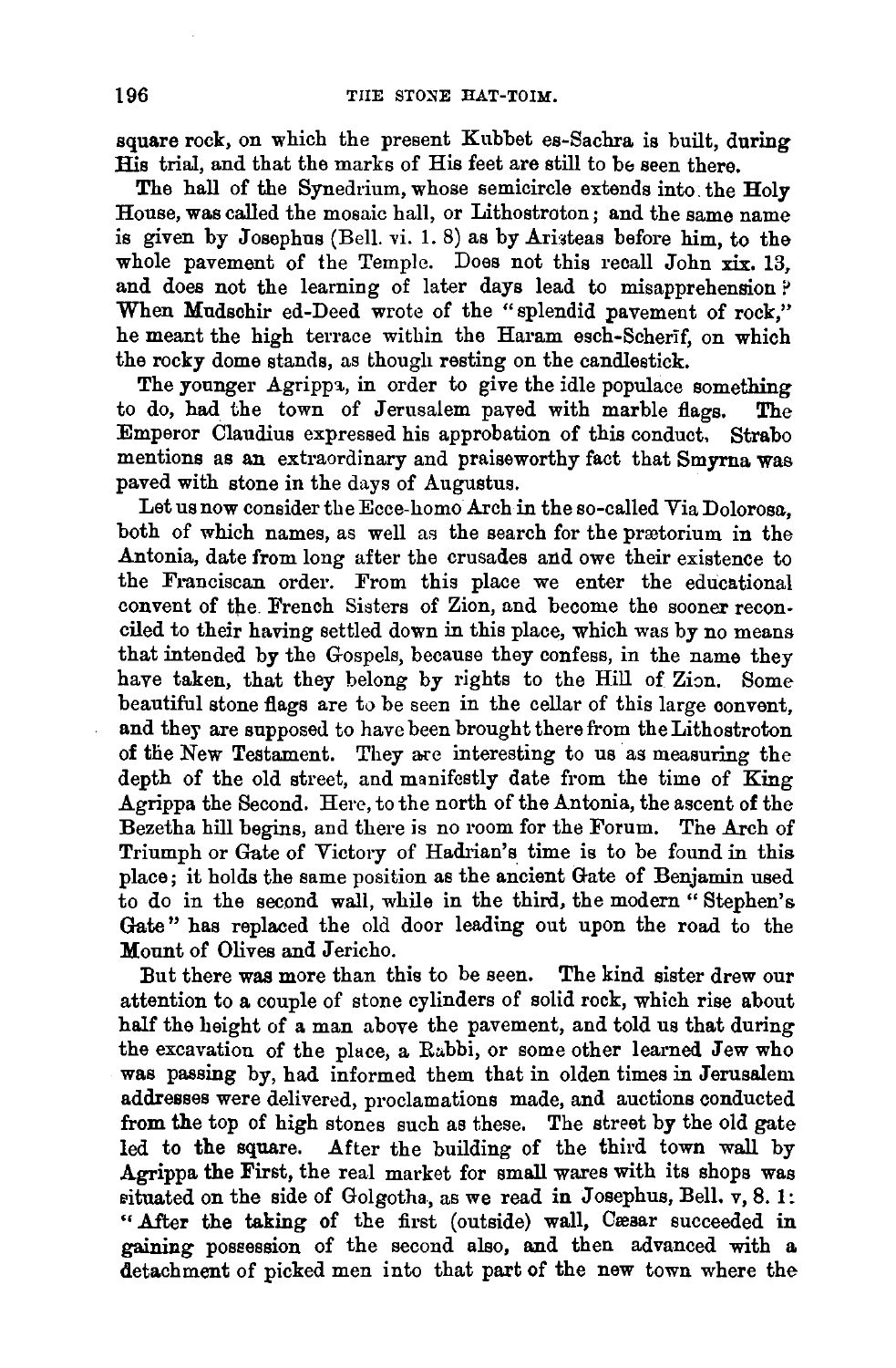square rock, on which the present Kubbet es-Sachra is built, during His trial, and that the marks of His feet are still to be seen there.

The hall of the Synedrium, whose semicircle extends into the Holy House, was called the mosaic hall, or Lithostroton; and the same name is given by Josephus (Bell. vi. 1. 8) as by Aristeas before him, to the whole pavement of the Temple. Does not this recall John xix. 13, and does not the learning of later days lead to misapprehension ? When Mudschir ed-Deed wrote of the "splendid pavement of rock," he meant the high terrace within the Haram esch-Scherif, on which the rocky dome stands, as though resting on the candlestick.

The younger Agrippa, in order to give the idle populace something to do, had the town of Jerusalem paved with marble flags. The Emperor Claudius expressed his approbation of this conduct, Strabo mentions as an extraordinary and praiseworthy fact that Smyrna was paved with stone in the days of Augustus.

Let us now consider the Ecce-homo Arch in the so-called Via Dolorosa, both of which names, as well as the search for the prætorium in the Antonia, date from long after the crusades and owe their existence to the Franciscan order. From this place we enter the educational convent of the French Sisters of Zion, and become the sooner reconciled to their having settled down in this place, which was by no means that intended by the Gospels, because they confess, in the name they have taken, that they belong by rights to the Hill of Zion. Some beautiful stone flags are to be seen in the cellar of this large convent, and they are supposed to have been brought there from the Lithostroton of the New Testament. They are interesting to us as measuring the depth of the old street, and manifestly date from the time of King Agrippa the Second. Here, to the north of the Antonia, the ascent of the Bezetha hill begins, and there is no room for the Forum. The Arch of Triumph or Gate of Victory of Hadrian's time is to be found in this place; it holds the same position as the ancient Gate of Benjamin used to do in the second wall, while in the third, the modern" Stephen's Gate" has replaced the old door leading out upon the road to the Mount of Olives and Jericho.

But there was more than this to be seen. The kind sister drew our attention to a couple of stone cylinders of solid rock, which rise about half the height of a man above the pavement, and told us that during the excavation of the place, a Rabbi, or some other learned Jew who was passing by, had informed them that in olden times in Jerusalem addresses were delivered, proclamations made, and auctions conducted from the top of high stones such as these. The street by the old gate led to the square. After the building of the third town wall by Agrippa the First, the real market for small wares with its shops was situated on the side of Golgotha, as we read in Josephus, Bell.  $v$ , 8. 1: "After the taking of the first (outside) wall, Cæsar succeeded in gaining possession of the second also, and then advanced with a detachment of picked men into that part of the new town where the